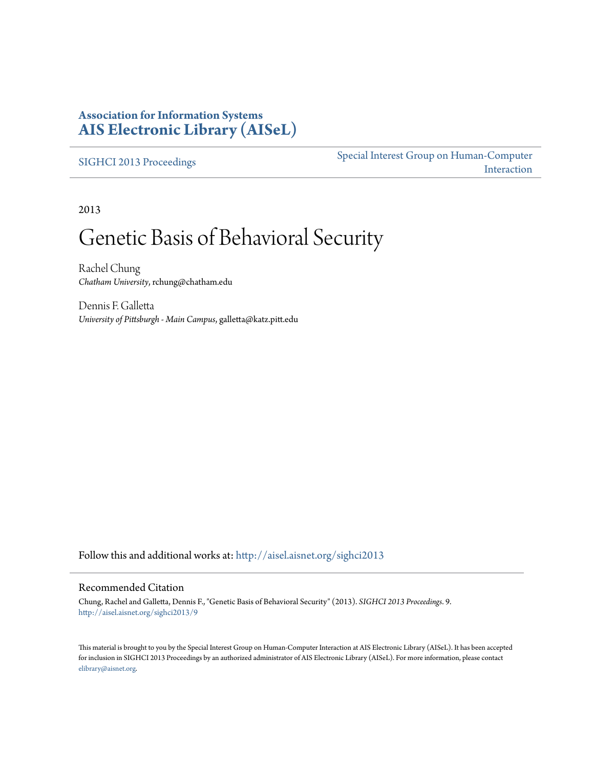## **Association for Information Systems [AIS Electronic Library \(AISeL\)](http://aisel.aisnet.org?utm_source=aisel.aisnet.org%2Fsighci2013%2F9&utm_medium=PDF&utm_campaign=PDFCoverPages)**

[SIGHCI 2013 Proceedings](http://aisel.aisnet.org/sighci2013?utm_source=aisel.aisnet.org%2Fsighci2013%2F9&utm_medium=PDF&utm_campaign=PDFCoverPages)

[Special Interest Group on Human-Computer](http://aisel.aisnet.org/sighci?utm_source=aisel.aisnet.org%2Fsighci2013%2F9&utm_medium=PDF&utm_campaign=PDFCoverPages) [Interaction](http://aisel.aisnet.org/sighci?utm_source=aisel.aisnet.org%2Fsighci2013%2F9&utm_medium=PDF&utm_campaign=PDFCoverPages)

2013

# Genetic Basis of Behavioral Security

Rachel Chung *Chatham University*, rchung@chatham.edu

Dennis F. Galletta *University of Pittsburgh - Main Campus*, galletta@katz.pitt.edu

Follow this and additional works at: [http://aisel.aisnet.org/sighci2013](http://aisel.aisnet.org/sighci2013?utm_source=aisel.aisnet.org%2Fsighci2013%2F9&utm_medium=PDF&utm_campaign=PDFCoverPages)

#### Recommended Citation

Chung, Rachel and Galletta, Dennis F., "Genetic Basis of Behavioral Security" (2013). *SIGHCI 2013 Proceedings*. 9. [http://aisel.aisnet.org/sighci2013/9](http://aisel.aisnet.org/sighci2013/9?utm_source=aisel.aisnet.org%2Fsighci2013%2F9&utm_medium=PDF&utm_campaign=PDFCoverPages)

This material is brought to you by the Special Interest Group on Human-Computer Interaction at AIS Electronic Library (AISeL). It has been accepted for inclusion in SIGHCI 2013 Proceedings by an authorized administrator of AIS Electronic Library (AISeL). For more information, please contact [elibrary@aisnet.org.](mailto:elibrary@aisnet.org%3E)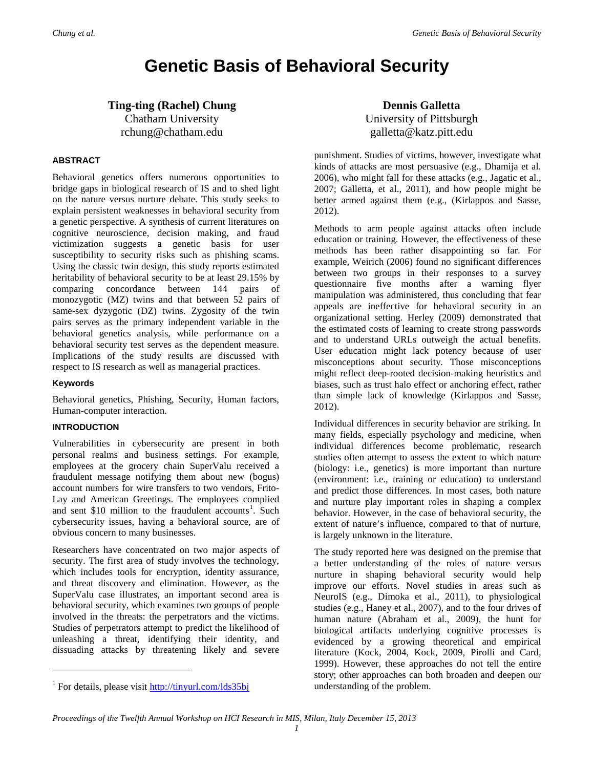## **Genetic Basis of Behavioral Security**

### **Ting-ting (Rachel) Chung** Chatham University rchung@chatham.edu

#### **ABSTRACT**

Behavioral genetics offers numerous opportunities to bridge gaps in biological research of IS and to shed light on the nature versus nurture debate. This study seeks to explain persistent weaknesses in behavioral security from a genetic perspective. A synthesis of current literatures on cognitive neuroscience, decision making, and fraud victimization suggests a genetic basis for user susceptibility to security risks such as phishing scams. Using the classic twin design, this study reports estimated heritability of behavioral security to be at least 29.15% by comparing concordance between 144 pairs of monozygotic (MZ) twins and that between 52 pairs of same-sex dyzygotic (DZ) twins. Zygosity of the twin pairs serves as the primary independent variable in the behavioral genetics analysis, while performance on a behavioral security test serves as the dependent measure. Implications of the study results are discussed with respect to IS research as well as managerial practices.

#### **Keywords**

 $\overline{a}$ 

Behavioral genetics, Phishing, Security, Human factors, Human-computer interaction.

#### **INTRODUCTION**

Vulnerabilities in cybersecurity are present in both personal realms and business settings. For example, employees at the grocery chain SuperValu received a fraudulent message notifying them about new (bogus) account numbers for wire transfers to two vendors, Frito-Lay and American Greetings. The employees complied and sent  $$10$  $$10$  $$10$  million to the fraudulent accounts<sup>1</sup>. Such cybersecurity issues, having a behavioral source, are of obvious concern to many businesses.

Researchers have concentrated on two major aspects of security. The first area of study involves the technology, which includes tools for encryption, identity assurance, and threat discovery and elimination. However, as the SuperValu case illustrates, an important second area is behavioral security, which examines two groups of people involved in the threats: the perpetrators and the victims. Studies of perpetrators attempt to predict the likelihood of unleashing a threat, identifying their identity, and dissuading attacks by threatening likely and severe

## **Dennis Galletta** University of Pittsburgh galletta@katz.pitt.edu

punishment. Studies of victims, however, investigate what kinds of attacks are most persuasive (e.g., Dhamija et al. 2006), who might fall for these attacks (e.g., Jagatic et al., 2007; Galletta, et al., 2011), and how people might be better armed against them (e.g., (Kirlappos and Sasse, 2012).

Methods to arm people against attacks often include education or training. However, the effectiveness of these methods has been rather disappointing so far. For example, Weirich (2006) found no significant differences between two groups in their responses to a survey questionnaire five months after a warning flyer manipulation was administered, thus concluding that fear appeals are ineffective for behavioral security in an organizational setting. Herley (2009) demonstrated that the estimated costs of learning to create strong passwords and to understand URLs outweigh the actual benefits. User education might lack potency because of user misconceptions about security. Those misconceptions might reflect deep-rooted decision-making heuristics and biases, such as trust halo effect or anchoring effect, rather than simple lack of knowledge (Kirlappos and Sasse, 2012).

Individual differences in security behavior are striking. In many fields, especially psychology and medicine, when individual differences become problematic, research studies often attempt to assess the extent to which nature (biology: i.e., genetics) is more important than nurture (environment: i.e., training or education) to understand and predict those differences. In most cases, both nature and nurture play important roles in shaping a complex behavior. However, in the case of behavioral security, the extent of nature's influence, compared to that of nurture, is largely unknown in the literature.

The study reported here was designed on the premise that a better understanding of the roles of nature versus nurture in shaping behavioral security would help improve our efforts. Novel studies in areas such as NeuroIS (e.g., Dimoka et al., 2011), to physiological studies (e.g., Haney et al., 2007), and to the four drives of human nature (Abraham et al., 2009), the hunt for biological artifacts underlying cognitive processes is evidenced by a growing theoretical and empirical literature (Kock, 2004, Kock, 2009, Pirolli and Card, 1999). However, these approaches do not tell the entire story; other approaches can both broaden and deepen our understanding of the problem.

<span id="page-1-0"></span><sup>&</sup>lt;sup>1</sup> For details, please visit http://tinyurl.com/lds35bj

*Proceedings of the Twelfth Annual Workshop on HCI Research in MIS, Milan, Italy December 15, 2013*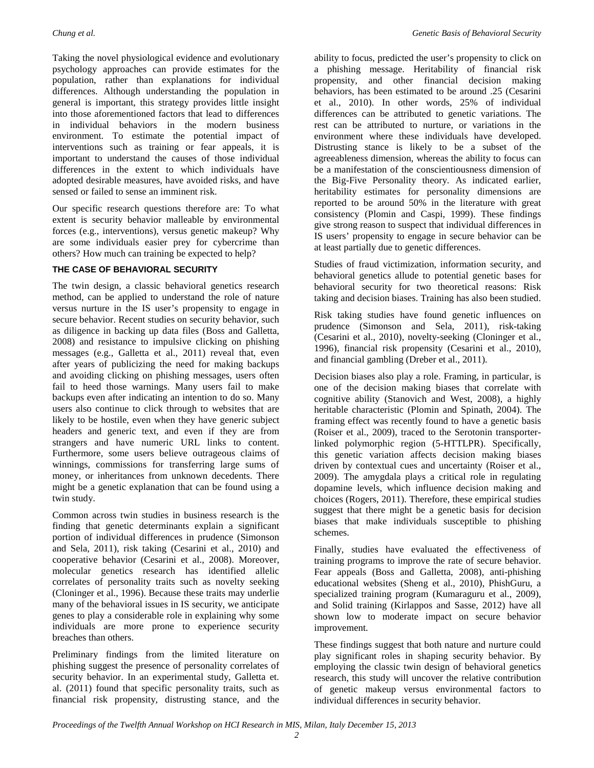Taking the novel physiological evidence and evolutionary psychology approaches can provide estimates for the population, rather than explanations for individual differences. Although understanding the population in general is important, this strategy provides little insight into those aforementioned factors that lead to differences in individual behaviors in the modern business environment. To estimate the potential impact of interventions such as training or fear appeals, it is important to understand the causes of those individual differences in the extent to which individuals have adopted desirable measures, have avoided risks, and have sensed or failed to sense an imminent risk.

Our specific research questions therefore are: To what extent is security behavior malleable by environmental forces (e.g., interventions), versus genetic makeup? Why are some individuals easier prey for cybercrime than others? How much can training be expected to help?

#### **THE CASE OF BEHAVIORAL SECURITY**

The twin design, a classic behavioral genetics research method, can be applied to understand the role of nature versus nurture in the IS user's propensity to engage in secure behavior. Recent studies on security behavior, such as diligence in backing up data files (Boss and Galletta, 2008) and resistance to impulsive clicking on phishing messages (e.g., Galletta et al., 2011) reveal that, even after years of publicizing the need for making backups and avoiding clicking on phishing messages, users often fail to heed those warnings. Many users fail to make backups even after indicating an intention to do so. Many users also continue to click through to websites that are likely to be hostile, even when they have generic subject headers and generic text, and even if they are from strangers and have numeric URL links to content. Furthermore, some users believe outrageous claims of winnings, commissions for transferring large sums of money, or inheritances from unknown decedents. There might be a genetic explanation that can be found using a twin study.

Common across twin studies in business research is the finding that genetic determinants explain a significant portion of individual differences in prudence (Simonson and Sela, 2011), risk taking (Cesarini et al., 2010) and cooperative behavior (Cesarini et al., 2008). Moreover, molecular genetics research has identified allelic correlates of personality traits such as novelty seeking (Cloninger et al., 1996). Because these traits may underlie many of the behavioral issues in IS security, we anticipate genes to play a considerable role in explaining why some individuals are more prone to experience security breaches than others.

Preliminary findings from the limited literature on phishing suggest the presence of personality correlates of security behavior. In an experimental study, Galletta et. al. (2011) found that specific personality traits, such as financial risk propensity, distrusting stance, and the

ability to focus, predicted the user's propensity to click on a phishing message. Heritability of financial risk propensity, and other financial decision making behaviors, has been estimated to be around .25 (Cesarini et al., 2010). In other words, 25% of individual differences can be attributed to genetic variations. The rest can be attributed to nurture, or variations in the environment where these individuals have developed. Distrusting stance is likely to be a subset of the agreeableness dimension, whereas the ability to focus can be a manifestation of the conscientiousness dimension of the Big-Five Personality theory. As indicated earlier, heritability estimates for personality dimensions are reported to be around 50% in the literature with great consistency (Plomin and Caspi, 1999). These findings give strong reason to suspect that individual differences in IS users' propensity to engage in secure behavior can be at least partially due to genetic differences.

Studies of fraud victimization, information security, and behavioral genetics allude to potential genetic bases for behavioral security for two theoretical reasons: Risk taking and decision biases. Training has also been studied.

Risk taking studies have found genetic influences on prudence (Simonson and Sela, 2011), risk-taking (Cesarini et al., 2010), novelty-seeking (Cloninger et al., 1996), financial risk propensity (Cesarini et al., 2010), and financial gambling (Dreber et al., 2011).

Decision biases also play a role. Framing, in particular, is one of the decision making biases that correlate with cognitive ability (Stanovich and West, 2008), a highly heritable characteristic (Plomin and Spinath, 2004). The framing effect was recently found to have a genetic basis (Roiser et al., 2009), traced to the Serotonin transporterlinked polymorphic region (5-HTTLPR). Specifically, this genetic variation affects decision making biases driven by contextual cues and uncertainty (Roiser et al., 2009). The amygdala plays a critical role in regulating dopamine levels, which influence decision making and choices (Rogers, 2011). Therefore, these empirical studies suggest that there might be a genetic basis for decision biases that make individuals susceptible to phishing schemes.

Finally, studies have evaluated the effectiveness of training programs to improve the rate of secure behavior. Fear appeals (Boss and Galletta, 2008), anti-phishing educational websites (Sheng et al., 2010), PhishGuru, a specialized training program (Kumaraguru et al., 2009), and Solid training (Kirlappos and Sasse, 2012) have all shown low to moderate impact on secure behavior improvement.

These findings suggest that both nature and nurture could play significant roles in shaping security behavior. By employing the classic twin design of behavioral genetics research, this study will uncover the relative contribution of genetic makeup versus environmental factors to individual differences in security behavior.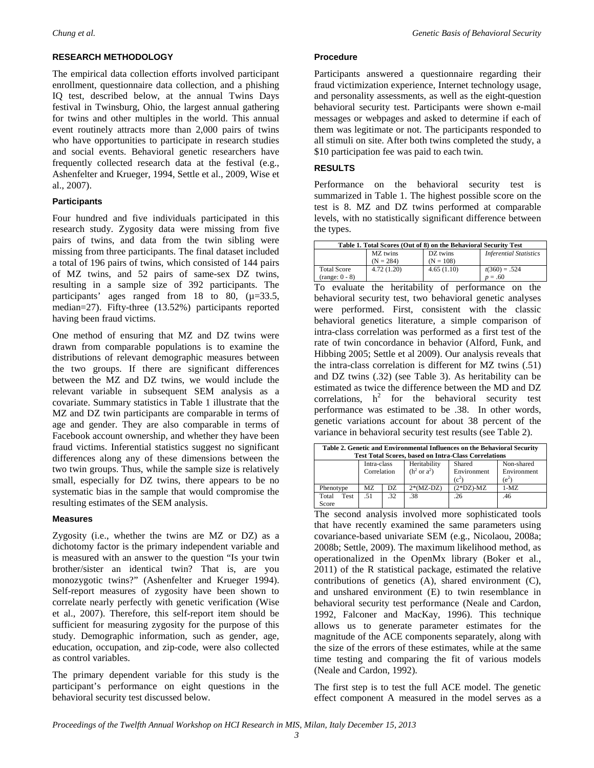#### **RESEARCH METHODOLOGY**

The empirical data collection efforts involved participant enrollment, questionnaire data collection, and a phishing IQ test, described below, at the annual Twins Days festival in Twinsburg, Ohio, the largest annual gathering for twins and other multiples in the world. This annual event routinely attracts more than 2,000 pairs of twins who have opportunities to participate in research studies and social events. Behavioral genetic researchers have frequently collected research data at the festival (e.g., Ashenfelter and Krueger, 1994, Settle et al., 2009, Wise et al., 2007).

#### **Participants**

Four hundred and five individuals participated in this research study. Zygosity data were missing from five pairs of twins, and data from the twin sibling were missing from three participants. The final dataset included a total of 196 pairs of twins, which consisted of 144 pairs of MZ twins, and 52 pairs of same-sex DZ twins, resulting in a sample size of 392 participants. The participants' ages ranged from 18 to 80,  $(\mu=33.5,$ median=27). Fifty-three (13.52%) participants reported having been fraud victims.

One method of ensuring that MZ and DZ twins were drawn from comparable populations is to examine the distributions of relevant demographic measures between the two groups. If there are significant differences between the MZ and DZ twins, we would include the relevant variable in subsequent SEM analysis as a covariate. Summary statistics in Table 1 illustrate that the MZ and DZ twin participants are comparable in terms of age and gender. They are also comparable in terms of Facebook account ownership, and whether they have been fraud victims. Inferential statistics suggest no significant differences along any of these dimensions between the two twin groups. Thus, while the sample size is relatively small, especially for DZ twins, there appears to be no systematic bias in the sample that would compromise the resulting estimates of the SEM analysis.

#### **Measures**

Zygosity (i.e., whether the twins are MZ or DZ) as a dichotomy factor is the primary independent variable and is measured with an answer to the question "Is your twin brother/sister an identical twin? That is, are you monozygotic twins?" (Ashenfelter and Krueger 1994). Self-report measures of zygosity have been shown to correlate nearly perfectly with genetic verification (Wise et al., 2007). Therefore, this self-report item should be sufficient for measuring zygosity for the purpose of this study. Demographic information, such as gender, age, education, occupation, and zip-code, were also collected as control variables.

The primary dependent variable for this study is the participant's performance on eight questions in the behavioral security test discussed below.

#### **Procedure**

Participants answered a questionnaire regarding their fraud victimization experience, Internet technology usage, and personality assessments, as well as the eight-question behavioral security test. Participants were shown e-mail messages or webpages and asked to determine if each of them was legitimate or not. The participants responded to all stimuli on site. After both twins completed the study, a \$10 participation fee was paid to each twin.

#### **RESULTS**

Performance on the behavioral security test is summarized in Table 1. The highest possible score on the test is 8. MZ and DZ twins performed at comparable levels, with no statistically significant difference between the types.

| Table 1. Total Scores (Out of 8) on the Behavioral Security Test |             |             |                               |  |  |  |  |
|------------------------------------------------------------------|-------------|-------------|-------------------------------|--|--|--|--|
|                                                                  | MZ twins    | DZ twins    | <b>Inferential Statistics</b> |  |  |  |  |
|                                                                  | $(N = 284)$ | $(N = 108)$ |                               |  |  |  |  |
| <b>Total Score</b>                                               | 4.72(1.20)  | 4.65(1.10)  | $t(360) = .524$               |  |  |  |  |
| $(range: 0 - 8)$                                                 |             |             | $p = .60$                     |  |  |  |  |

To evaluate the heritability of performance on the behavioral security test, two behavioral genetic analyses were performed. First, consistent with the classic behavioral genetics literature, a simple comparison of intra-class correlation was performed as a first test of the rate of twin concordance in behavior (Alford, Funk, and Hibbing 2005; Settle et al 2009). Our analysis reveals that the intra-class correlation is different for MZ twins (.51) and DZ twins (.32) (see Table 3). As heritability can be estimated as twice the difference between the MD and DZ correlations,  $h^2$  for the behavioral security test performance was estimated to be .38. In other words, genetic variations account for about 38 percent of the variance in behavioral security test results (see Table 2).

| Table 2. Genetic and Environmental Influences on the Behavioral Security<br><b>Test Total Scores, based on Intra-Class Correlations</b> |                            |     |                                                     |                                  |                                      |  |  |  |
|-----------------------------------------------------------------------------------------------------------------------------------------|----------------------------|-----|-----------------------------------------------------|----------------------------------|--------------------------------------|--|--|--|
|                                                                                                                                         | Intra-class<br>Correlation |     | Heritability<br>(h <sup>2</sup> or a <sup>2</sup> ) | Shared<br>Environment<br>$(c^2)$ | Non-shared<br>Environment<br>$(e^2)$ |  |  |  |
| Phenotype                                                                                                                               | MZ.<br>DZ.                 |     | $2*(MZ-DZ)$                                         | $(2*DZ)$ -MZ                     | $1-MZ$                               |  |  |  |
| Total<br>Test<br>Score                                                                                                                  | .51                        | .32 | .38                                                 | .26                              | .46                                  |  |  |  |

The second analysis involved more sophisticated tools that have recently examined the same parameters using covariance-based univariate SEM (e.g., Nicolaou, 2008a; 2008b; Settle, 2009). The maximum likelihood method, as operationalized in the OpenMx library (Boker et al., 2011) of the R statistical package, estimated the relative contributions of genetics (A), shared environment (C), and unshared environment (E) to twin resemblance in behavioral security test performance (Neale and Cardon, 1992, Falconer and MacKay, 1996). This technique allows us to generate parameter estimates for the magnitude of the ACE components separately, along with the size of the errors of these estimates, while at the same time testing and comparing the fit of various models (Neale and Cardon, 1992).

The first step is to test the full ACE model. The genetic effect component A measured in the model serves as a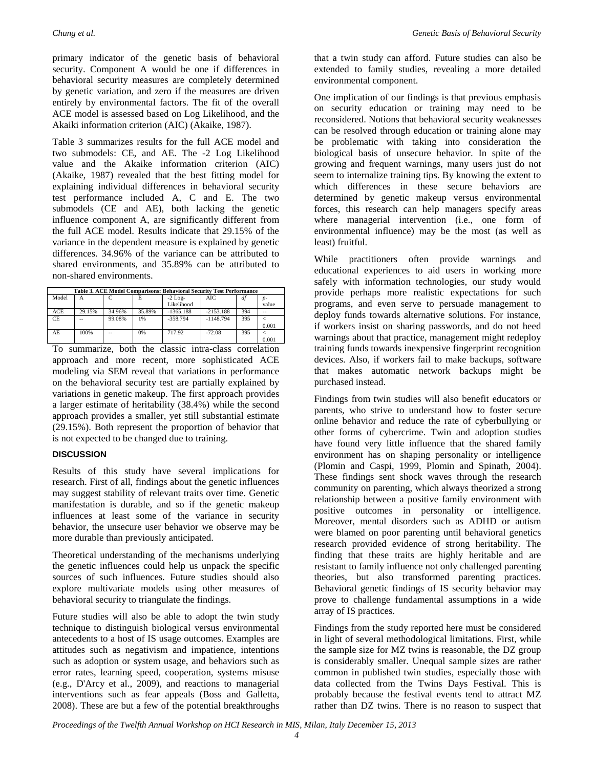primary indicator of the genetic basis of behavioral security. Component A would be one if differences in behavioral security measures are completely determined by genetic variation, and zero if the measures are driven entirely by environmental factors. The fit of the overall ACE model is assessed based on Log Likelihood, and the Akaiki information criterion (AIC) (Akaike, 1987).

Table 3 summarizes results for the full ACE model and two submodels: CE, and AE. The -2 Log Likelihood value and the Akaike information criterion (AIC) (Akaike, 1987) revealed that the best fitting model for explaining individual differences in behavioral security test performance included A, C and E. The two submodels (CE and AE), both lacking the genetic influence component A, are significantly different from the full ACE model. Results indicate that 29.15% of the variance in the dependent measure is explained by genetic differences. 34.96% of the variance can be attributed to shared environments, and 35.89% can be attributed to non-shared environments.

| Table 3. ACE Model Comparisons: Behavioral Security Test Performance |        |        |        |             |             |     |       |  |  |
|----------------------------------------------------------------------|--------|--------|--------|-------------|-------------|-----|-------|--|--|
| Model                                                                | А      |        | E      | $-2$ Log-   | AIC         | df  | $D-$  |  |  |
|                                                                      |        |        |        | Likelihood  |             |     | value |  |  |
| ACE                                                                  | 29.15% | 34.96% | 35.89% | $-1365.188$ | $-2153.188$ | 394 |       |  |  |
| CE.                                                                  | --     | 99.08% | 1%     | $-358.794$  | $-1148.794$ | 395 |       |  |  |
|                                                                      |        |        |        |             |             |     | 0.001 |  |  |
| AE                                                                   | 100%   |        | 0%     | 717.92      | $-72.08$    | 395 |       |  |  |
|                                                                      |        |        |        |             |             |     | 0.001 |  |  |

To summarize, both the classic intra-class correlation approach and more recent, more sophisticated ACE modeling via SEM reveal that variations in performance on the behavioral security test are partially explained by variations in genetic makeup. The first approach provides a larger estimate of heritability (38.4%) while the second approach provides a smaller, yet still substantial estimate (29.15%). Both represent the proportion of behavior that is not expected to be changed due to training.

#### **DISCUSSION**

Results of this study have several implications for research. First of all, findings about the genetic influences may suggest stability of relevant traits over time. Genetic manifestation is durable, and so if the genetic makeup influences at least some of the variance in security behavior, the unsecure user behavior we observe may be more durable than previously anticipated.

Theoretical understanding of the mechanisms underlying the genetic influences could help us unpack the specific sources of such influences. Future studies should also explore multivariate models using other measures of behavioral security to triangulate the findings.

Future studies will also be able to adopt the twin study technique to distinguish biological versus environmental antecedents to a host of IS usage outcomes. Examples are attitudes such as negativism and impatience, intentions such as adoption or system usage, and behaviors such as error rates, learning speed, cooperation, systems misuse (e.g., D'Arcy et al., 2009), and reactions to managerial interventions such as fear appeals (Boss and Galletta, 2008). These are but a few of the potential breakthroughs

that a twin study can afford. Future studies can also be extended to family studies, revealing a more detailed environmental component.

One implication of our findings is that previous emphasis on security education or training may need to be reconsidered. Notions that behavioral security weaknesses can be resolved through education or training alone may be problematic with taking into consideration the biological basis of unsecure behavior. In spite of the growing and frequent warnings, many users just do not seem to internalize training tips. By knowing the extent to which differences in these secure behaviors are determined by genetic makeup versus environmental forces, this research can help managers specify areas where managerial intervention (i.e., one form of environmental influence) may be the most (as well as least) fruitful.

While practitioners often provide warnings and educational experiences to aid users in working more safely with information technologies, our study would provide perhaps more realistic expectations for such programs, and even serve to persuade management to deploy funds towards alternative solutions. For instance, if workers insist on sharing passwords, and do not heed warnings about that practice, management might redeploy training funds towards inexpensive fingerprint recognition devices. Also, if workers fail to make backups, software that makes automatic network backups might be purchased instead.

Findings from twin studies will also benefit educators or parents, who strive to understand how to foster secure online behavior and reduce the rate of cyberbullying or other forms of cybercrime. Twin and adoption studies have found very little influence that the shared family environment has on shaping personality or intelligence (Plomin and Caspi, 1999, Plomin and Spinath, 2004). These findings sent shock waves through the research community on parenting, which always theorized a strong relationship between a positive family environment with positive outcomes in personality or intelligence. Moreover, mental disorders such as ADHD or autism were blamed on poor parenting until behavioral genetics research provided evidence of strong heritability. The finding that these traits are highly heritable and are resistant to family influence not only challenged parenting theories, but also transformed parenting practices. Behavioral genetic findings of IS security behavior may prove to challenge fundamental assumptions in a wide array of IS practices.

Findings from the study reported here must be considered in light of several methodological limitations. First, while the sample size for MZ twins is reasonable, the DZ group is considerably smaller. Unequal sample sizes are rather common in published twin studies, especially those with data collected from the Twins Days Festival. This is probably because the festival events tend to attract MZ rather than DZ twins. There is no reason to suspect that

*Proceedings of the Twelfth Annual Workshop on HCI Research in MIS, Milan, Italy December 15, 2013*